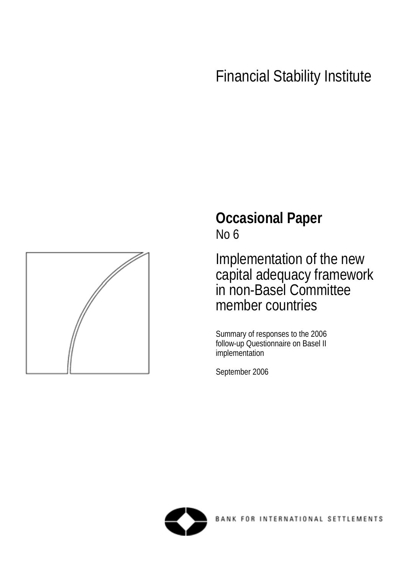# Financial Stability Institute



# **Occasional Paper**  No 6

Implementation of the new capital adequacy framework in non-Basel Committee member countries

Summary of responses to the 2006 follow-up Questionnaire on Basel II implementation

September 2006

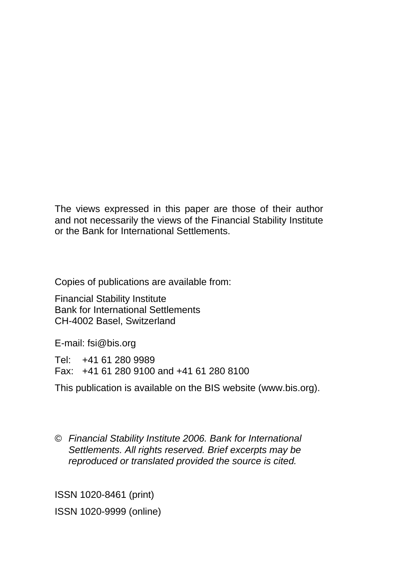The views expressed in this paper are those of their author and not necessarily the views of the Financial Stability Institute or the Bank for International Settlements.

Copies of publications are available from:

Financial Stability Institute Bank for International Settlements CH-4002 Basel, Switzerland

E-mail: fsi@bis.org

Tel: +41 61 280 9989 Fax: +41 61 280 9100 and +41 61 280 8100

This publication is available on the BIS website (www.bis.org).

© *Financial Stability Institute 2006. Bank for International Settlements. All rights reserved. Brief excerpts may be reproduced or translated provided the source is cited.* 

ISSN 1020-8461 (print) ISSN 1020-9999 (online)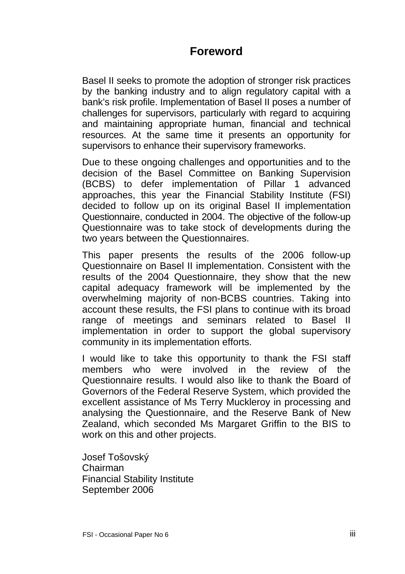# **Foreword**

<span id="page-2-0"></span>Basel II seeks to promote the adoption of stronger risk practices by the banking industry and to align regulatory capital with a bank's risk profile. Implementation of Basel II poses a number of challenges for supervisors, particularly with regard to acquiring and maintaining appropriate human, financial and technical resources. At the same time it presents an opportunity for supervisors to enhance their supervisory frameworks.

Due to these ongoing challenges and opportunities and to the decision of the Basel Committee on Banking Supervision (BCBS) to defer implementation of Pillar 1 advanced approaches, this year the Financial Stability Institute (FSI) decided to follow up on its original Basel II implementation Questionnaire, conducted in 2004. The objective of the follow-up Questionnaire was to take stock of developments during the two years between the Questionnaires.

This paper presents the results of the 2006 follow-up Questionnaire on Basel II implementation. Consistent with the results of the 2004 Questionnaire, they show that the new capital adequacy framework will be implemented by the overwhelming majority of non-BCBS countries. Taking into account these results, the FSI plans to continue with its broad range of meetings and seminars related to Basel II implementation in order to support the global supervisory community in its implementation efforts.

I would like to take this opportunity to thank the FSI staff members who were involved in the review of the Questionnaire results. I would also like to thank the Board of Governors of the Federal Reserve System, which provided the excellent assistance of Ms Terry Muckleroy in processing and analysing the Questionnaire, and the Reserve Bank of New Zealand, which seconded Ms Margaret Griffin to the BIS to work on this and other projects.

Josef Tošovský Chairman Financial Stability Institute September 2006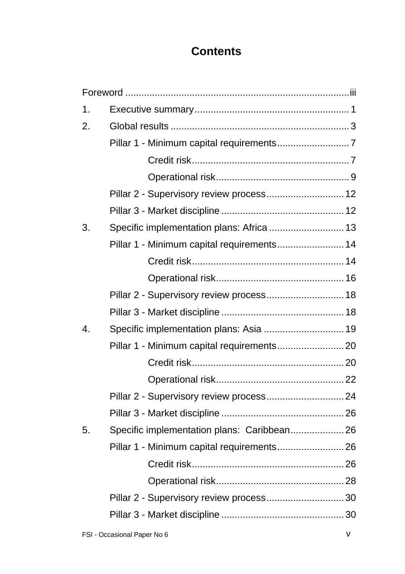# **Contents**

| Pillar 2 - Supervisory review process 12<br>Specific implementation plans: Africa  13<br>Pillar 1 - Minimum capital requirements 14<br>Pillar 2 - Supervisory review process 18<br>Specific implementation plans: Asia  19<br>Pillar 2 - Supervisory review process 24<br>Specific implementation plans: Caribbean 26<br>Pillar 1 - Minimum capital requirements 26<br>Pillar 2 - Supervisory review process 30 |
|-----------------------------------------------------------------------------------------------------------------------------------------------------------------------------------------------------------------------------------------------------------------------------------------------------------------------------------------------------------------------------------------------------------------|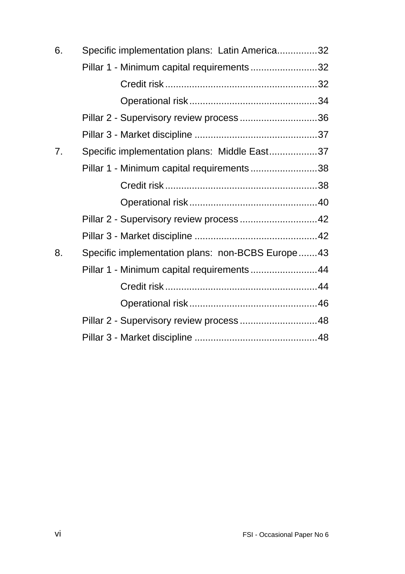| 6. | Specific implementation plans: Latin America32   |  |
|----|--------------------------------------------------|--|
|    | Pillar 1 - Minimum capital requirements 32       |  |
|    |                                                  |  |
|    |                                                  |  |
|    | Pillar 2 - Supervisory review process36          |  |
|    |                                                  |  |
| 7. | Specific implementation plans: Middle East37     |  |
|    | Pillar 1 - Minimum capital requirements38        |  |
|    |                                                  |  |
|    |                                                  |  |
|    | Pillar 2 - Supervisory review process42          |  |
|    |                                                  |  |
| 8. | Specific implementation plans: non-BCBS Europe43 |  |
|    | Pillar 1 - Minimum capital requirements  44      |  |
|    |                                                  |  |
|    |                                                  |  |
|    | Pillar 2 - Supervisory review process  48        |  |
|    |                                                  |  |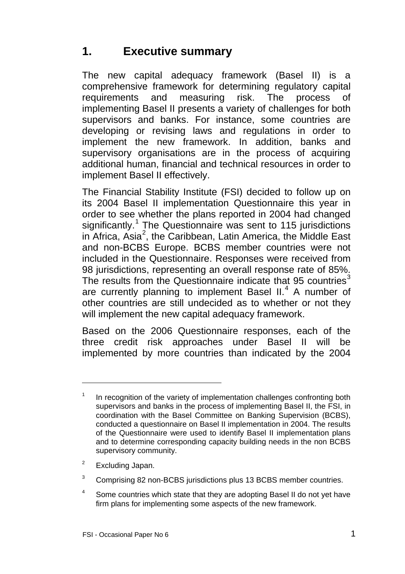# <span id="page-6-0"></span>**1. Executive summary**

The new capital adequacy framework (Basel II) is a comprehensive framework for determining regulatory capital requirements and measuring risk. The process of implementing Basel II presents a variety of challenges for both supervisors and banks. For instance, some countries are developing or revising laws and regulations in order to implement the new framework. In addition, banks and supervisory organisations are in the process of acquiring additional human, financial and technical resources in order to implement Basel II effectively.

The Financial Stability Institute (FSI) decided to follow up on its 2004 Basel II implementation Questionnaire this year in order to see whether the plans reported in 2004 had changed significantly.<sup>[1](#page-6-1)</sup> The Questionnaire was sent to 115 jurisdictions in Africa, Asia<sup>[2](#page-6-2)</sup>, the Caribbean, Latin America, the Middle East and non-BCBS Europe. BCBS member countries were not included in the Questionnaire. Responses were received from 98 jurisdictions, representing an overall response rate of 85%. The results from the Questionnaire indicate that 95 countries $^3$  $^3$ are currently planning to implement Basel II. $<sup>4</sup>$  $<sup>4</sup>$  $<sup>4</sup>$  A number of</sup> other countries are still undecided as to whether or not they will implement the new capital adequacy framework.

Based on the 2006 Questionnaire responses, each of the three credit risk approaches under Basel II will be implemented by more countries than indicated by the 2004

<span id="page-6-2"></span>2 Excluding Japan.

l

<span id="page-6-3"></span>3 Comprising 82 non-BCBS jurisdictions plus 13 BCBS member countries.

<span id="page-6-1"></span><sup>1</sup> In recognition of the variety of implementation challenges confronting both supervisors and banks in the process of implementing Basel II, the FSI, in coordination with the Basel Committee on Banking Supervision (BCBS), conducted a questionnaire on Basel II implementation in 2004. The results of the Questionnaire were used to identify Basel II implementation plans and to determine corresponding capacity building needs in the non BCBS supervisory community.

<span id="page-6-4"></span><sup>4</sup> Some countries which state that they are adopting Basel II do not yet have firm plans for implementing some aspects of the new framework.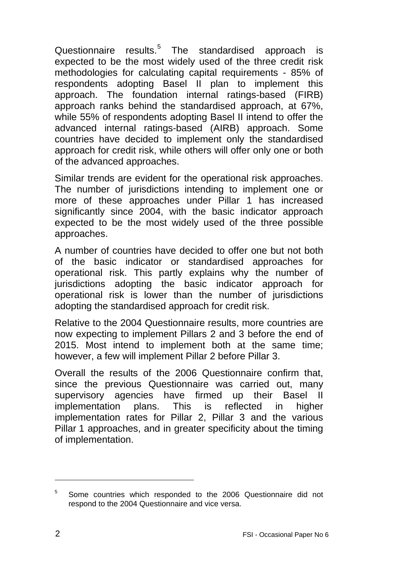Questionnaire results.<sup>[5](#page-7-0)</sup> The standardised approach is expected to be the most widely used of the three credit risk methodologies for calculating capital requirements - 85% of respondents adopting Basel II plan to implement this approach. The foundation internal ratings-based (FIRB) approach ranks behind the standardised approach, at 67%, while 55% of respondents adopting Basel II intend to offer the advanced internal ratings-based (AIRB) approach. Some countries have decided to implement only the standardised approach for credit risk, while others will offer only one or both of the advanced approaches.

Similar trends are evident for the operational risk approaches. The number of jurisdictions intending to implement one or more of these approaches under Pillar 1 has increased significantly since 2004, with the basic indicator approach expected to be the most widely used of the three possible approaches.

A number of countries have decided to offer one but not both of the basic indicator or standardised approaches for operational risk. This partly explains why the number of jurisdictions adopting the basic indicator approach for operational risk is lower than the number of jurisdictions adopting the standardised approach for credit risk.

Relative to the 2004 Questionnaire results, more countries are now expecting to implement Pillars 2 and 3 before the end of 2015. Most intend to implement both at the same time; however, a few will implement Pillar 2 before Pillar 3.

Overall the results of the 2006 Questionnaire confirm that, since the previous Questionnaire was carried out, many supervisory agencies have firmed up their Basel II implementation plans. This is reflected in higher implementation rates for Pillar 2, Pillar 3 and the various Pillar 1 approaches, and in greater specificity about the timing of implementation.

l

<span id="page-7-0"></span><sup>5</sup> Some countries which responded to the 2006 Questionnaire did not respond to the 2004 Questionnaire and vice versa.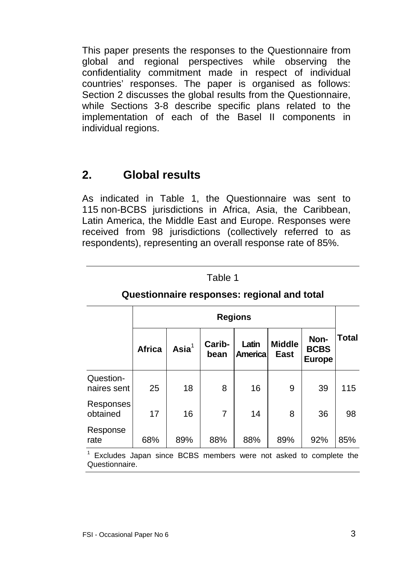<span id="page-8-0"></span>This paper presents the responses to the Questionnaire from global and regional perspectives while observing the confidentiality commitment made in respect of individual countries' responses. The paper is organised as follows: Section 2 discusses the global results from the Questionnaire, while Sections 3-8 describe specific plans related to the implementation of each of the Basel II components in individual regions.

# **2. Global results**

As indicated in Table 1, the Questionnaire was sent to 115 non-BCBS jurisdictions in Africa, Asia, the Caribbean, Latin America, the Middle East and Europe. Responses were received from 98 jurisdictions (collectively referred to as respondents), representing an overall response rate of 85%.

|                          | <b>Regions</b> |           |                |                  |                       |                                      |              |
|--------------------------|----------------|-----------|----------------|------------------|-----------------------|--------------------------------------|--------------|
|                          | <b>Africa</b>  | Asia $^1$ | Carib-<br>bean | Latin<br>America | <b>Middle</b><br>East | Non-<br><b>BCBS</b><br><b>Europe</b> | <b>Total</b> |
| Question-<br>naires sent | 25             | 18        | 8              | 16               | 9                     | 39                                   | 115          |
| Responses<br>obtained    | 17             | 16        | 7              | 14               | 8                     | 36                                   | 98           |
| Response<br>rate         | 68%            | 89%       | 88%            | 88%              | 89%                   | 92%                                  | 85%          |

# Table 1 **Questionnaire responses: regional and total**

<sup>1</sup> Excludes Japan since BCBS members were not asked to complete the Questionnaire.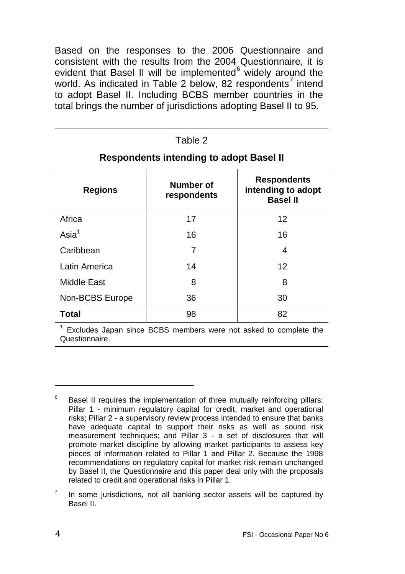Based on the responses to the 2006 Questionnaire and consistent with the results from the 2004 Questionnaire, it is evident that Basel II will be implemented<sup>[6](#page-9-0)</sup> widely around the world. As indicated in Table 2 below, 82 respondents<sup>[7](#page-9-1)</sup> intend to adopt Basel II. Including BCBS member countries in the total brings the number of jurisdictions adopting Basel II to 95.

| Table 2                                        |                          |                                                             |  |  |  |
|------------------------------------------------|--------------------------|-------------------------------------------------------------|--|--|--|
| <b>Respondents intending to adopt Basel II</b> |                          |                                                             |  |  |  |
| <b>Regions</b>                                 | Number of<br>respondents | <b>Respondents</b><br>intending to adopt<br><b>Basel II</b> |  |  |  |
| Africa                                         | 17                       | 12                                                          |  |  |  |
| $\text{Asia}^1$                                | 16                       | 16                                                          |  |  |  |
| Caribbean                                      | 7                        | 4                                                           |  |  |  |
| Latin America                                  | 14                       | 12                                                          |  |  |  |
| Middle East                                    | 8                        | 8                                                           |  |  |  |
| Non-BCBS Europe                                | 36                       | 30                                                          |  |  |  |
| Total                                          | 98                       | 82                                                          |  |  |  |

<sup>1</sup> Excludes Japan since BCBS members were not asked to complete the Questionnaire.

l

<span id="page-9-0"></span><sup>6</sup> Basel II requires the implementation of three mutually reinforcing pillars: Pillar 1 - minimum regulatory capital for credit, market and operational risks; Pillar 2 - a supervisory review process intended to ensure that banks have adequate capital to support their risks as well as sound risk measurement techniques; and Pillar 3 - a set of disclosures that will promote market discipline by allowing market participants to assess key pieces of information related to Pillar 1 and Pillar 2. Because the 1998 recommendations on regulatory capital for market risk remain unchanged by Basel II, the Questionnaire and this paper deal only with the proposals related to credit and operational risks in Pillar 1.

<span id="page-9-1"></span><sup>7</sup> In some jurisdictions, not all banking sector assets will be captured by Basel II.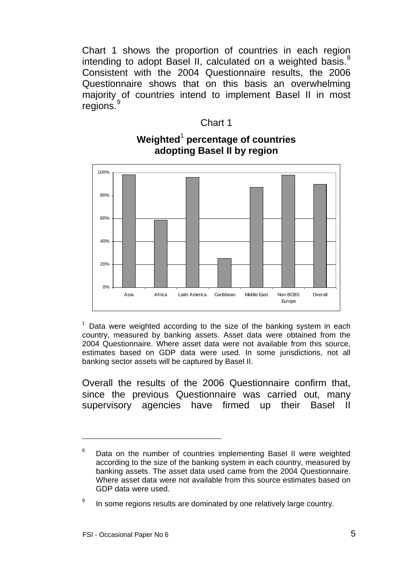Chart 1 shows the proportion of countries in each region intending to adopt Basel II, calculated on a weighted basis. $8$ Consistent with the 2004 Questionnaire results, the 2006 Questionnaire shows that on this basis an overwhelming majority of countries intend to implement Basel II in most regions.<sup>[9](#page-10-1)</sup>

#### Chart 1



### **Weighted**<sup>1</sup>  **percentage of countries adopting Basel II by region**

1 Data were weighted according to the size of the banking system in each country, measured by banking assets. Asset data were obtained from the 2004 Questionnaire. Where asset data were not available from this source, estimates based on GDP data were used. In some jurisdictions, not all banking sector assets will be captured by Basel II.

Overall the results of the 2006 Questionnaire confirm that, since the previous Questionnaire was carried out, many supervisory agencies have firmed up their Basel II

l

<span id="page-10-0"></span><sup>8</sup> Data on the number of countries implementing Basel II were weighted according to the size of the banking system in each country, measured by banking assets. The asset data used came from the 2004 Questionnaire. Where asset data were not available from this source estimates based on GDP data were used.

<span id="page-10-1"></span><sup>9</sup> In some regions results are dominated by one relatively large country.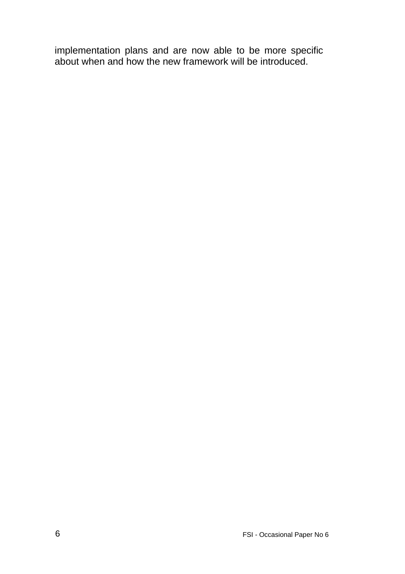implementation plans and are now able to be more specific about when and how the new framework will be introduced.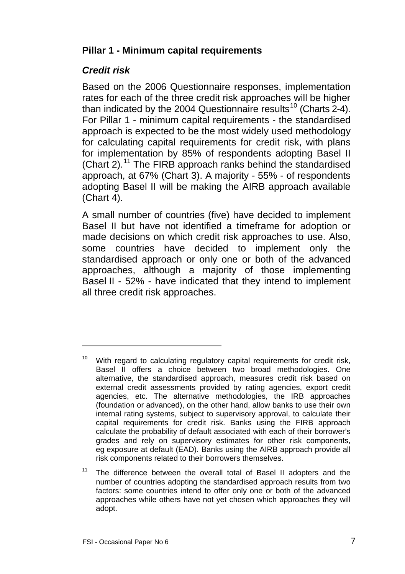# <span id="page-12-0"></span>**Pillar 1 - Minimum capital requirements**

# *Credit risk*

l

Based on the 2006 Questionnaire responses, implementation rates for each of the three credit risk approaches will be higher than indicated by the 2004 Questionnaire results<sup>[10](#page-12-1)</sup> (Charts 2-4). For Pillar 1 - minimum capital requirements - the standardised approach is expected to be the most widely used methodology for calculating capital requirements for credit risk, with plans for implementation by 85% of respondents adopting Basel II (Chart 2).<sup>[11](#page-12-2)</sup> The FIRB approach ranks behind the standardised approach, at 67% (Chart 3). A majority - 55% - of respondents adopting Basel II will be making the AIRB approach available (Chart 4).

A small number of countries (five) have decided to implement Basel II but have not identified a timeframe for adoption or made decisions on which credit risk approaches to use. Also, some countries have decided to implement only the standardised approach or only one or both of the advanced approaches, although a majority of those implementing Basel II - 52% - have indicated that they intend to implement all three credit risk approaches.

<span id="page-12-1"></span> $10$  With regard to calculating regulatory capital requirements for credit risk, Basel II offers a choice between two broad methodologies. One alternative, the standardised approach, measures credit risk based on external credit assessments provided by rating agencies, export credit agencies, etc. The alternative methodologies, the IRB approaches (foundation or advanced), on the other hand, allow banks to use their own internal rating systems, subject to supervisory approval, to calculate their capital requirements for credit risk. Banks using the FIRB approach calculate the probability of default associated with each of their borrower's grades and rely on supervisory estimates for other risk components, eg exposure at default (EAD). Banks using the AIRB approach provide all risk components related to their borrowers themselves.

<span id="page-12-2"></span><sup>&</sup>lt;sup>11</sup> The difference between the overall total of Basel II adopters and the number of countries adopting the standardised approach results from two factors: some countries intend to offer only one or both of the advanced approaches while others have not yet chosen which approaches they will adopt.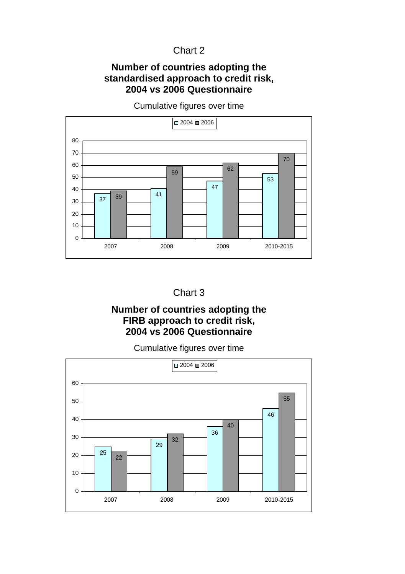#### Chart 2

#### **Number of countries adopting the standardised approach to credit risk, 2004 vs 2006 Questionnaire**

 $\overline{37}$  39 41 <sup>62</sup>  $\Omega$  2007 2008 2009 2010-2015  $\Box$  2004  $\Box$  2006

Cumulative figures over time



## **Number of countries adopting the FIRB approach to credit risk, 2004 vs 2006 Questionnaire**

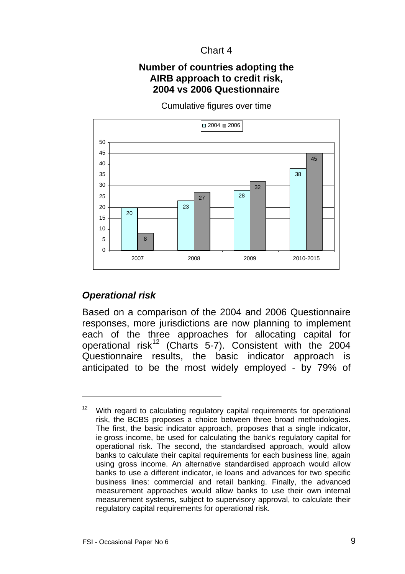#### Chart 4

#### **Number of countries adopting the AIRB approach to credit risk, 2004 vs 2006 Questionnaire**

Cumulative figures over time

<span id="page-14-0"></span>

# *Operational risk*

l

Based on a comparison of the 2004 and 2006 Questionnaire responses, more jurisdictions are now planning to implement each of the three approaches for allocating capital for operational risk<sup>[1](#page-14-1)2</sup> (Charts 5-7). Consistent with the 2004 Questionnaire results, the basic indicator approach is anticipated to be the most widely employed - by 79% of

<span id="page-14-1"></span> $12$  With regard to calculating regulatory capital requirements for operational risk, the BCBS proposes a choice between three broad methodologies. The first, the basic indicator approach, proposes that a single indicator, ie gross income, be used for calculating the bank's regulatory capital for operational risk. The second, the standardised approach, would allow banks to calculate their capital requirements for each business line, again using gross income. An alternative standardised approach would allow banks to use a different indicator, ie loans and advances for two specific business lines: commercial and retail banking. Finally, the advanced measurement approaches would allow banks to use their own internal measurement systems, subject to supervisory approval, to calculate their regulatory capital requirements for operational risk.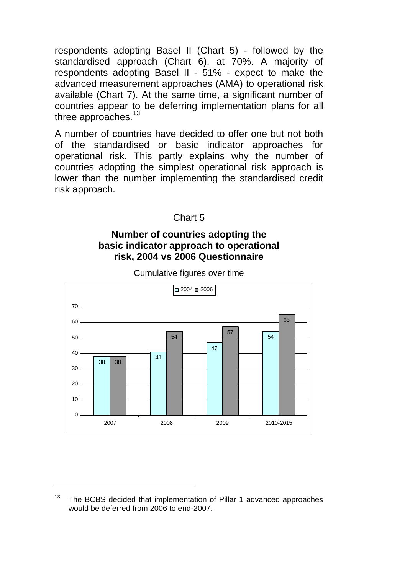respondents adopting Basel II (Chart 5) - followed by the standardised approach (Chart 6), at 70%. A majority of respondents adopting Basel II - 51% - expect to make the advanced measurement approaches (AMA) to operational risk available (Chart 7). At the same time, a significant number of countries appear to be deferring implementation plans for all three approaches.<sup>[1](#page-15-0)3</sup>

A number of countries have decided to offer one but not both of the standardised or basic indicator approaches for operational risk. This partly explains why the number of countries adopting the simplest operational risk approach is lower than the number implementing the standardised credit risk approach.

Chart 5

#### **Number of countries adopting the basic indicator approach to operational risk, 2004 vs 2006 Questionnaire**



Cumulative figures over time

l

<span id="page-15-0"></span><sup>&</sup>lt;sup>13</sup> The BCBS decided that implementation of Pillar 1 advanced approaches would be deferred from 2006 to end-2007.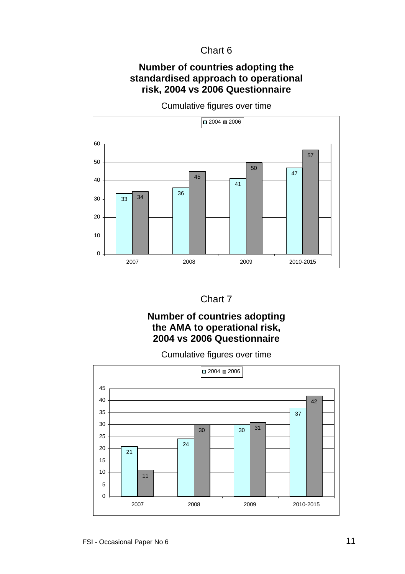#### Chart 6

#### **Number of countries adopting the standardised approach to operational risk, 2004 vs 2006 Questionnaire**

Cumulative figures over time



#### Chart 7

#### **Number of countries adopting the AMA to operational risk, 2004 vs 2006 Questionnaire**

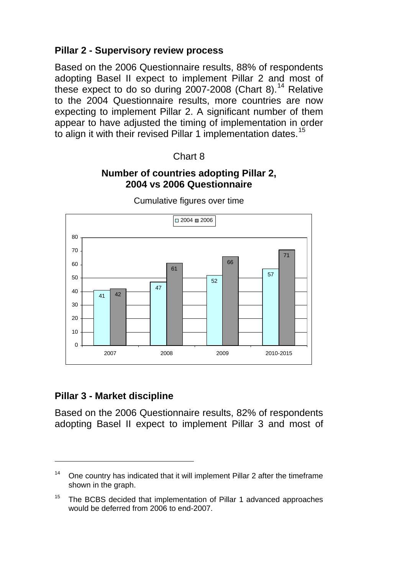# <span id="page-17-0"></span>**Pillar 2 - Supervisory review process**

Based on the 2006 Questionnaire results, 88% of respondents adopting Basel II expect to implement Pillar 2 and most of these expect to do so during 2007-2008 (Chart 8).<sup>[14](#page-17-1)</sup> Relative to the 2004 Questionnaire results, more countries are now expecting to implement Pillar 2. A significant number of them appear to have adjusted the timing of implementation in order to align it with their revised Pillar 1 implementation dates.<sup>[15](#page-17-2)</sup>

#### Chart 8

#### **Number of countries adopting Pillar 2, 2004 vs 2006 Questionnaire**



Cumulative figures over time

#### **Pillar 3 - Market discipline**

l

Based on the 2006 Questionnaire results, 82% of respondents adopting Basel II expect to implement Pillar 3 and most of

<span id="page-17-1"></span><sup>&</sup>lt;sup>14</sup> One country has indicated that it will implement Pillar 2 after the timeframe shown in the graph.

<span id="page-17-2"></span><sup>&</sup>lt;sup>15</sup> The BCBS decided that implementation of Pillar 1 advanced approaches would be deferred from 2006 to end-2007.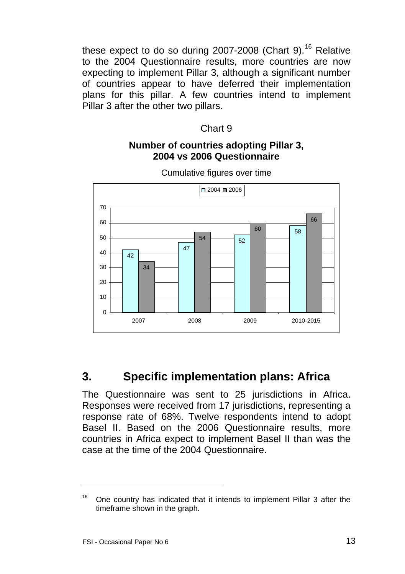<span id="page-18-0"></span>these expect to do so during 2007-2008 (Chart 9).<sup>[1](#page-18-1)6</sup> Relative to the 2004 Questionnaire results, more countries are now expecting to implement Pillar 3, although a significant number of countries appear to have deferred their implementation plans for this pillar. A few countries intend to implement Pillar 3 after the other two pillars.

#### Chart 9

#### **Number of countries adopting Pillar 3, 2004 vs 2006 Questionnaire**



Cumulative figures over time

# **3. Specific implementation plans: Africa**

The Questionnaire was sent to 25 jurisdictions in Africa. Responses were received from 17 jurisdictions, representing a response rate of 68%. Twelve respondents intend to adopt Basel II. Based on the 2006 Questionnaire results, more countries in Africa expect to implement Basel II than was the case at the time of the 2004 Questionnaire.

l

<span id="page-18-1"></span><sup>&</sup>lt;sup>16</sup> One country has indicated that it intends to implement Pillar 3 after the timeframe shown in the graph.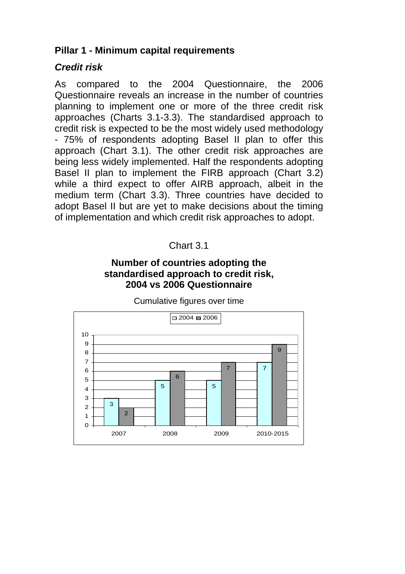### <span id="page-19-0"></span>**Pillar 1 - Minimum capital requirements**

#### *Credit risk*

As compared to the 2004 Questionnaire, the 2006 Questionnaire reveals an increase in the number of countries planning to implement one or more of the three credit risk approaches (Charts 3.1-3.3). The standardised approach to credit risk is expected to be the most widely used methodology - 75% of respondents adopting Basel II plan to offer this approach (Chart 3.1). The other credit risk approaches are being less widely implemented. Half the respondents adopting Basel II plan to implement the FIRB approach (Chart 3.2) while a third expect to offer AIRB approach, albeit in the medium term (Chart 3.3). Three countries have decided to adopt Basel II but are yet to make decisions about the timing of implementation and which credit risk approaches to adopt.

# Chart 3.1

#### **Number of countries adopting the standardised approach to credit risk, 2004 vs 2006 Questionnaire**

Cumulative figures over time

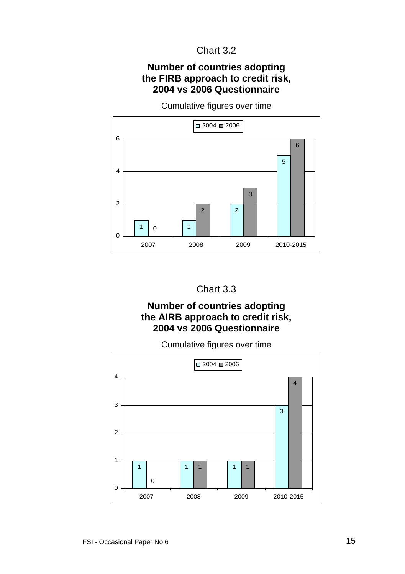### Chart 3.2

#### **Number of countries adopting the FIRB approach to credit risk, 2004 vs 2006 Questionnaire**

Cumulative figures over time





#### **Number of countries adopting the AIRB approach to credit risk, 2004 vs 2006 Questionnaire**

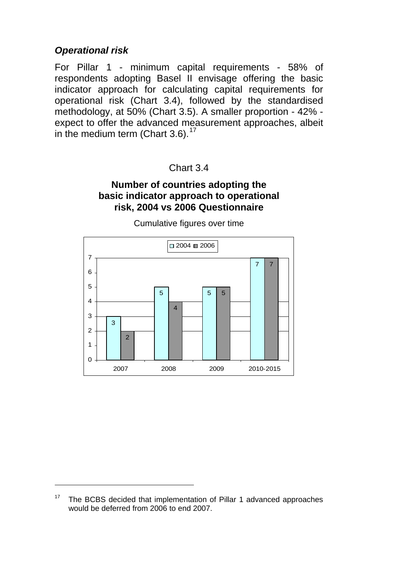### <span id="page-21-0"></span>*Operational risk*

l

For Pillar 1 - minimum capital requirements - 58% of respondents adopting Basel II envisage offering the basic indicator approach for calculating capital requirements for operational risk (Chart 3.4), followed by the standardised methodology, at 50% (Chart 3.5). A smaller proportion - 42% expect to offer the advanced measurement approaches, albeit in the medium term (Chart 3.6). $17$ 

#### Chart 3.4

#### **Number of countries adopting the basic indicator approach to operational risk, 2004 vs 2006 Questionnaire**



<span id="page-21-1"></span><sup>&</sup>lt;sup>17</sup> The BCBS decided that implementation of Pillar 1 advanced approaches would be deferred from 2006 to end 2007.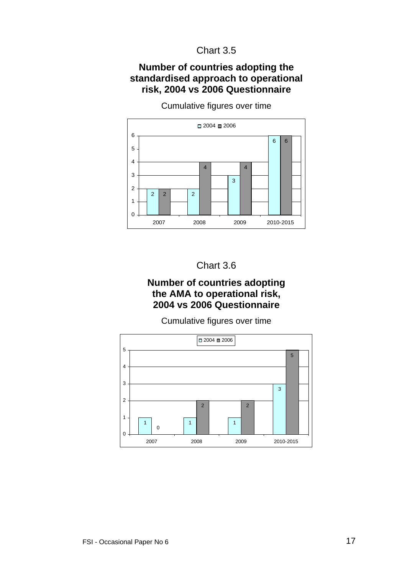### Chart 3.5

#### **Number of countries adopting the standardised approach to operational risk, 2004 vs 2006 Questionnaire**



Cumulative figures over time

#### Chart 3.6

#### **Number of countries adopting the AMA to operational risk, 2004 vs 2006 Questionnaire**

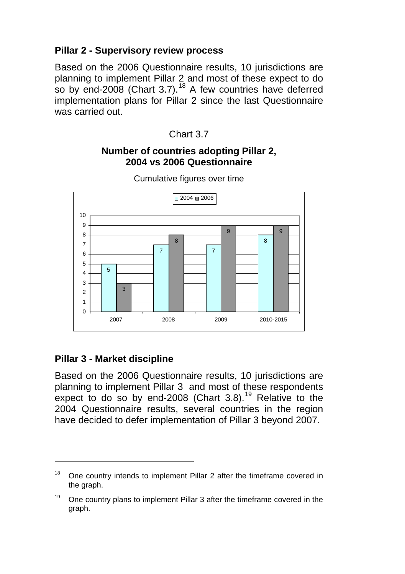# <span id="page-23-0"></span>**Pillar 2 - Supervisory review process**

Based on the 2006 Questionnaire results, 10 jurisdictions are planning to implement Pillar 2 and most of these expect to do so by end-2008 (Chart 3.7).<sup>[18](#page-23-1)</sup> A few countries have deferred implementation plans for Pillar 2 since the last Questionnaire was carried out.



#### **Number of countries adopting Pillar 2, 2004 vs 2006 Questionnaire**



Cumulative figures over time

# **Pillar 3 - Market discipline**

l

Based on the 2006 Questionnaire results, 10 jurisdictions are planning to implement Pillar 3 and most of these respondents expect to do so by end-2008 (Chart  $3.8$ ).<sup>[1](#page-23-2)9</sup> Relative to the 2004 Questionnaire results, several countries in the region have decided to defer implementation of Pillar 3 beyond 2007.

<span id="page-23-1"></span><sup>&</sup>lt;sup>18</sup> One country intends to implement Pillar 2 after the timeframe covered in the graph.

<span id="page-23-2"></span> $19$  One country plans to implement Pillar 3 after the timeframe covered in the graph.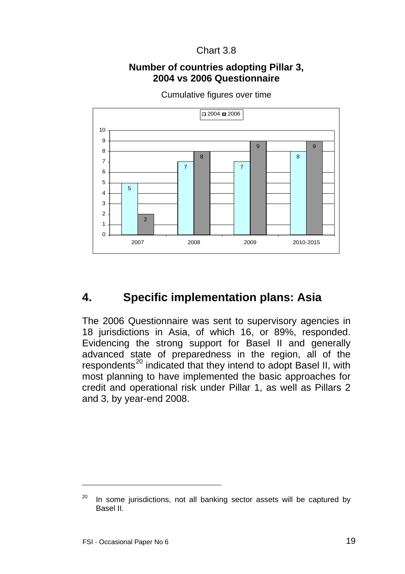#### Chart 3.8

#### **Number of countries adopting Pillar 3, 2004 vs 2006 Questionnaire**

<span id="page-24-0"></span>

Cumulative figures over time

# **4. Specific implementation plans: Asia**

The 2006 Questionnaire was sent to supervisory agencies in 18 jurisdictions in Asia, of which 16, or 89%, responded. Evidencing the strong support for Basel II and generally advanced state of preparedness in the region, all of the respondents<sup>[2](#page-24-1)0</sup> indicated that they intend to adopt Basel II, with most planning to have implemented the basic approaches for credit and operational risk under Pillar 1, as well as Pillars 2 and 3, by year-end 2008.

l

<span id="page-24-1"></span> $20$  In some jurisdictions, not all banking sector assets will be captured by Basel II.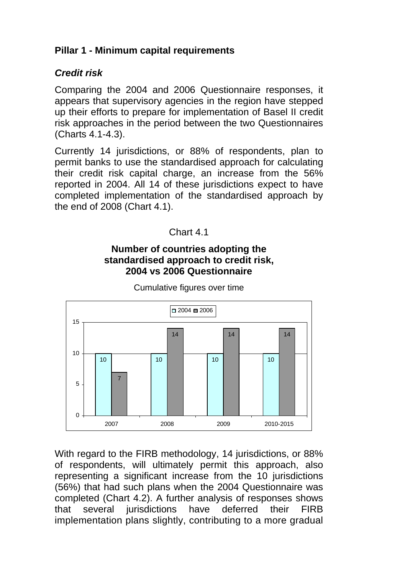# <span id="page-25-0"></span>**Pillar 1 - Minimum capital requirements**

### *Credit risk*

Comparing the 2004 and 2006 Questionnaire responses, it appears that supervisory agencies in the region have stepped up their efforts to prepare for implementation of Basel II credit risk approaches in the period between the two Questionnaires (Charts 4.1-4.3).

Currently 14 jurisdictions, or 88% of respondents, plan to permit banks to use the standardised approach for calculating their credit risk capital charge, an increase from the 56% reported in 2004. All 14 of these jurisdictions expect to have completed implementation of the standardised approach by the end of 2008 (Chart 4.1).



### **Number of countries adopting the standardised approach to credit risk, 2004 vs 2006 Questionnaire**



Cumulative figures over time

With regard to the FIRB methodology, 14 jurisdictions, or 88% of respondents, will ultimately permit this approach, also representing a significant increase from the 10 jurisdictions (56%) that had such plans when the 2004 Questionnaire was completed (Chart 4.2). A further analysis of responses shows that several jurisdictions have deferred their FIRB implementation plans slightly, contributing to a more gradual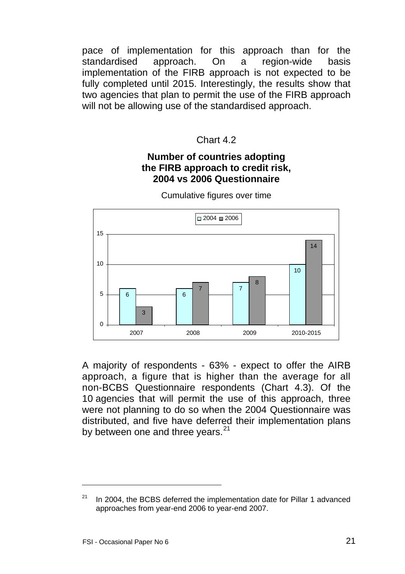pace of implementation for this approach than for the standardised approach. On a region-wide basis implementation of the FIRB approach is not expected to be fully completed until 2015. Interestingly, the results show that two agencies that plan to permit the use of the FIRB approach will not be allowing use of the standardised approach.

#### Chart 4.2

#### **Number of countries adopting the FIRB approach to credit risk, 2004 vs 2006 Questionnaire**



Cumulative figures over time

A majority of respondents - 63% - expect to offer the AIRB approach, a figure that is higher than the average for all non-BCBS Questionnaire respondents (Chart 4.3). Of the 10 agencies that will permit the use of this approach, three were not planning to do so when the 2004 Questionnaire was distributed, and five have deferred their implementation plans by between one and three vears. $^{21}$  $^{21}$  $^{21}$ 

l

<span id="page-26-0"></span> $21$  In 2004, the BCBS deferred the implementation date for Pillar 1 advanced approaches from year-end 2006 to year-end 2007.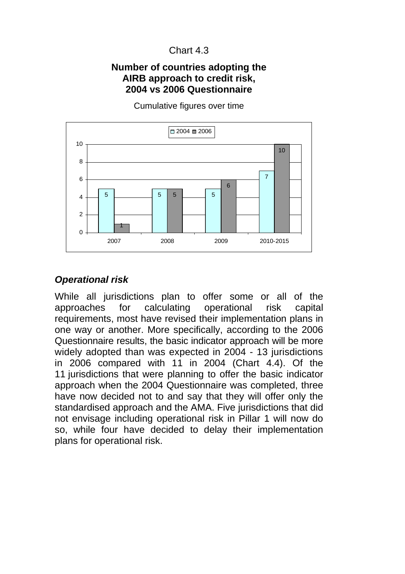# Chart 4.3

#### <span id="page-27-0"></span>**Number of countries adopting the AIRB approach to credit risk, 2004 vs 2006 Questionnaire**

5 5 5 5 7 1 5 6 10  $\Omega$ 2 4 6 8 10 2007 2008 2009 2010-2015  $\Box$  2004  $\Box$  2006

Cumulative figures over time

# *Operational risk*

While all jurisdictions plan to offer some or all of the approaches for calculating operational risk capital requirements, most have revised their implementation plans in one way or another. More specifically, according to the 2006 Questionnaire results, the basic indicator approach will be more widely adopted than was expected in 2004 - 13 jurisdictions in 2006 compared with 11 in 2004 (Chart 4.4). Of the 11 jurisdictions that were planning to offer the basic indicator approach when the 2004 Questionnaire was completed, three have now decided not to and say that they will offer only the standardised approach and the AMA. Five jurisdictions that did not envisage including operational risk in Pillar 1 will now do so, while four have decided to delay their implementation plans for operational risk.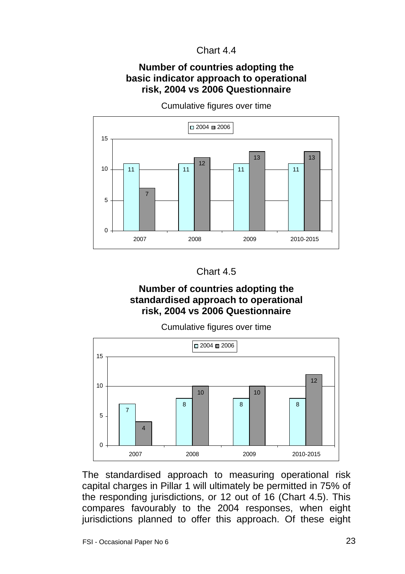#### Chart 4.4

#### **Number of countries adopting the basic indicator approach to operational risk, 2004 vs 2006 Questionnaire**



Cumulative figures over time



### **Number of countries adopting the standardised approach to operational risk, 2004 vs 2006 Questionnaire**

Cumulative figures over time



The standardised approach to measuring operational risk capital charges in Pillar 1 will ultimately be permitted in 75% of the responding jurisdictions, or 12 out of 16 (Chart 4.5). This compares favourably to the 2004 responses, when eight jurisdictions planned to offer this approach. Of these eight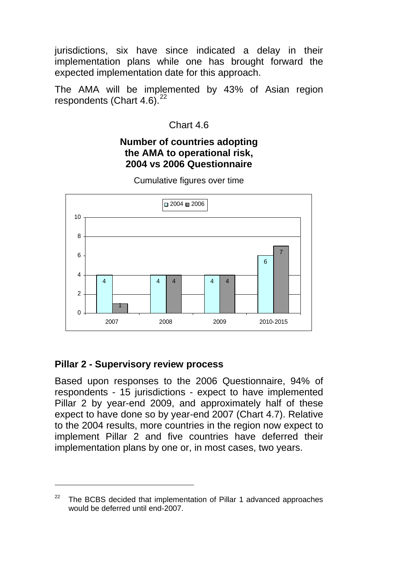<span id="page-29-0"></span>jurisdictions, six have since indicated a delay in their implementation plans while one has brought forward the expected implementation date for this approach.

The AMA will be implemented by 43% of Asian region respondents (Chart  $4.6$ ).<sup>[2](#page-29-1)2</sup>

### Chart 4.6

#### **Number of countries adopting the AMA to operational risk, 2004 vs 2006 Questionnaire**



Cumulative figures over time

# **Pillar 2 - Supervisory review process**

l

Based upon responses to the 2006 Questionnaire, 94% of respondents - 15 jurisdictions - expect to have implemented Pillar 2 by year-end 2009, and approximately half of these expect to have done so by year-end 2007 (Chart 4.7). Relative to the 2004 results, more countries in the region now expect to implement Pillar 2 and five countries have deferred their implementation plans by one or, in most cases, two years.

<span id="page-29-1"></span> $22$  The BCBS decided that implementation of Pillar 1 advanced approaches would be deferred until end-2007.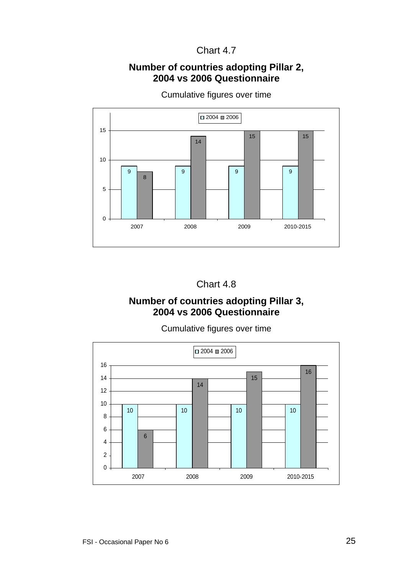# Chart 4.7

#### **Number of countries adopting Pillar 2, 2004 vs 2006 Questionnaire**



Cumulative figures over time

#### Chart 4.8

#### **Number of countries adopting Pillar 3, 2004 vs 2006 Questionnaire**

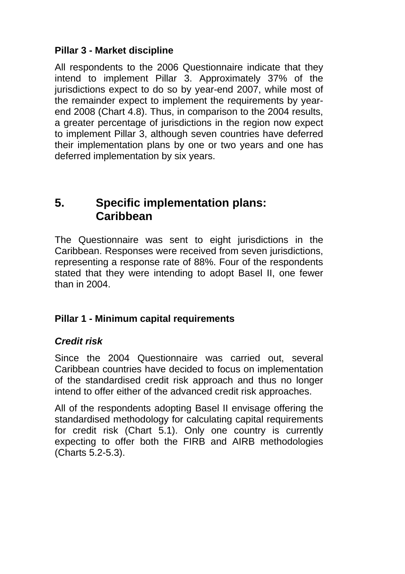# <span id="page-31-0"></span>**Pillar 3 - Market discipline**

All respondents to the 2006 Questionnaire indicate that they intend to implement Pillar 3. Approximately 37% of the jurisdictions expect to do so by year-end 2007, while most of the remainder expect to implement the requirements by yearend 2008 (Chart 4.8). Thus, in comparison to the 2004 results, a greater percentage of jurisdictions in the region now expect to implement Pillar 3, although seven countries have deferred their implementation plans by one or two years and one has deferred implementation by six years.

# **5. Specific implementation plans: Caribbean**

The Questionnaire was sent to eight jurisdictions in the Caribbean. Responses were received from seven jurisdictions, representing a response rate of 88%. Four of the respondents stated that they were intending to adopt Basel II, one fewer than in 2004.

# **Pillar 1 - Minimum capital requirements**

# *Credit risk*

Since the 2004 Questionnaire was carried out, several Caribbean countries have decided to focus on implementation of the standardised credit risk approach and thus no longer intend to offer either of the advanced credit risk approaches.

All of the respondents adopting Basel II envisage offering the standardised methodology for calculating capital requirements for credit risk (Chart 5.1). Only one country is currently expecting to offer both the FIRB and AIRB methodologies (Charts 5.2-5.3).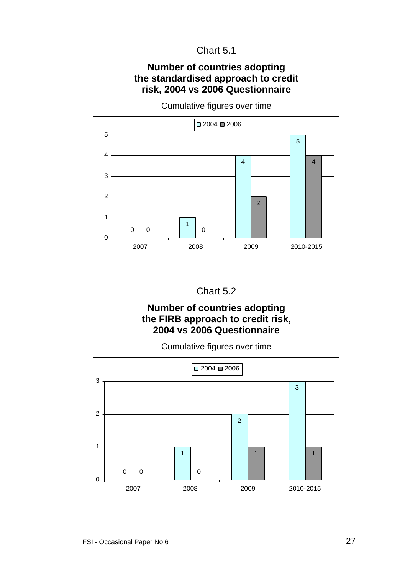#### **Number of countries adopting the standardised approach to credit risk, 2004 vs 2006 Questionnaire**



Cumulative figures over time

### Chart 5.2

#### **Number of countries adopting the FIRB approach to credit risk, 2004 vs 2006 Questionnaire**

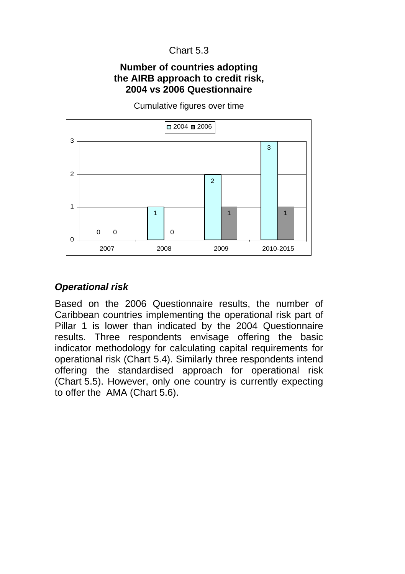#### <span id="page-33-0"></span>**Number of countries adopting the AIRB approach to credit risk, 2004 vs 2006 Questionnaire**

 $\Omega$ 1  $\overline{2}$ 3 0 0 1 1  $\Omega$ 1 2 3 2007 2008 2009 2010-2015  $\Box$  2004  $\Box$  2006

Cumulative figures over time

#### *Operational risk*

Based on the 2006 Questionnaire results, the number of Caribbean countries implementing the operational risk part of Pillar 1 is lower than indicated by the 2004 Questionnaire results. Three respondents envisage offering the basic indicator methodology for calculating capital requirements for operational risk (Chart 5.4). Similarly three respondents intend offering the standardised approach for operational risk (Chart 5.5). However, only one country is currently expecting to offer the AMA (Chart 5.6).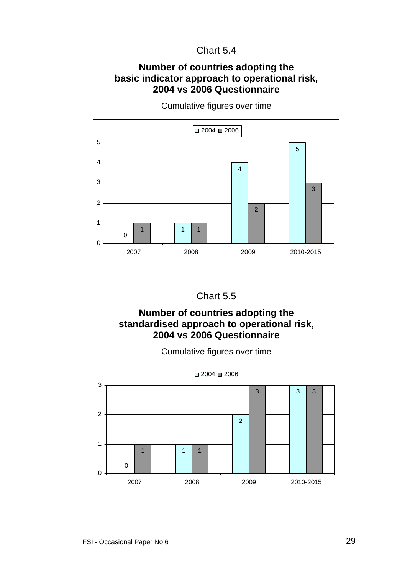#### **Number of countries adopting the basic indicator approach to operational risk, 2004 vs 2006 Questionnaire**



Cumulative figures over time



#### **Number of countries adopting the standardised approach to operational risk, 2004 vs 2006 Questionnaire**

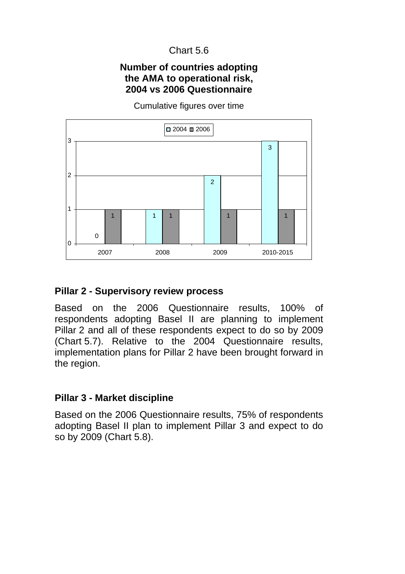#### **Number of countries adopting the AMA to operational risk, 2004 vs 2006 Questionnaire**

Cumulative figures over time

<span id="page-35-0"></span>

#### **Pillar 2 - Supervisory review process**

Based on the 2006 Questionnaire results, 100% of respondents adopting Basel II are planning to implement Pillar 2 and all of these respondents expect to do so by 2009 (Chart 5.7). Relative to the 2004 Questionnaire results, implementation plans for Pillar 2 have been brought forward in the region.

#### **Pillar 3 - Market discipline**

Based on the 2006 Questionnaire results, 75% of respondents adopting Basel II plan to implement Pillar 3 and expect to do so by 2009 (Chart 5.8).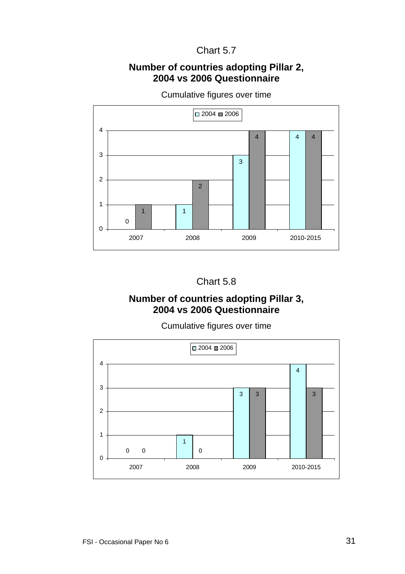#### **Number of countries adopting Pillar 2, 2004 vs 2006 Questionnaire**



Cumulative figures over time

# Chart 5.8

#### **Number of countries adopting Pillar 3, 2004 vs 2006 Questionnaire**

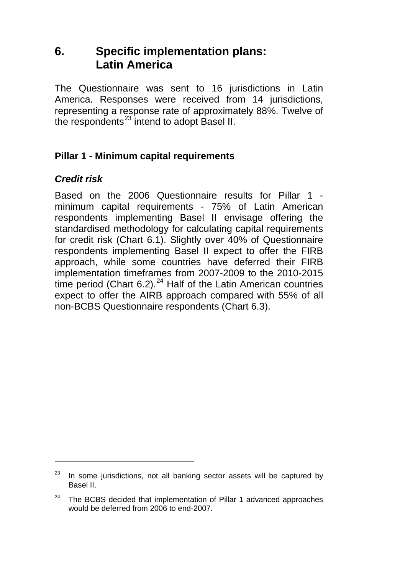# <span id="page-37-0"></span>**6. Specific implementation plans: Latin America**

The Questionnaire was sent to 16 jurisdictions in Latin America. Responses were received from 14 jurisdictions, representing a response rate of approximately 88%. Twelve of the respondents $^{23}$  $^{23}$  $^{23}$  intend to adopt Basel II.

# **Pillar 1 - Minimum capital requirements**

# *Credit risk*

l

Based on the 2006 Questionnaire results for Pillar 1 minimum capital requirements - 75% of Latin American respondents implementing Basel II envisage offering the standardised methodology for calculating capital requirements for credit risk (Chart 6.1). Slightly over 40% of Questionnaire respondents implementing Basel II expect to offer the FIRB approach, while some countries have deferred their FIRB implementation timeframes from 2007-2009 to the 2010-2015 time period (Chart 6.2). $^{24}$  $^{24}$  $^{24}$  Half of the Latin American countries expect to offer the AIRB approach compared with 55% of all non-BCBS Questionnaire respondents (Chart 6.3).

<span id="page-37-1"></span> $23$  In some jurisdictions, not all banking sector assets will be captured by Basel II.

<span id="page-37-2"></span><sup>&</sup>lt;sup>24</sup> The BCBS decided that implementation of Pillar 1 advanced approaches would be deferred from 2006 to end-2007.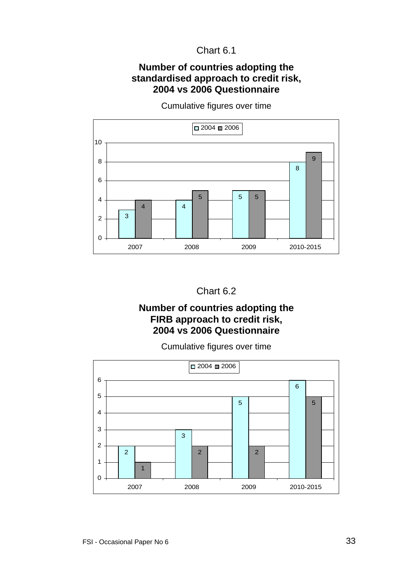#### **Number of countries adopting the standardised approach to credit risk, 2004 vs 2006 Questionnaire**



Cumulative figures over time

### Chart 6.2

#### **Number of countries adopting the FIRB approach to credit risk, 2004 vs 2006 Questionnaire**

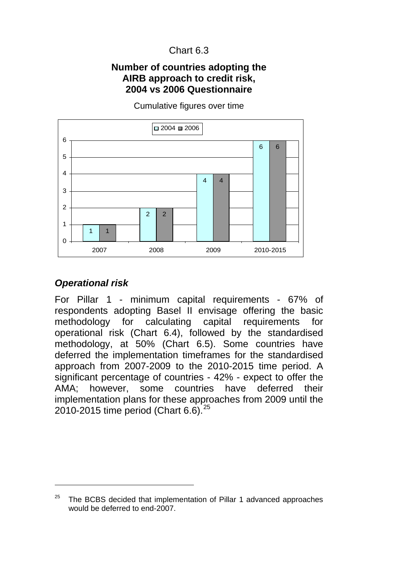#### **Number of countries adopting the AIRB approach to credit risk, 2004 vs 2006 Questionnaire**

<span id="page-39-0"></span>

Cumulative figures over time

#### *Operational risk*

l

For Pillar 1 - minimum capital requirements - 67% of respondents adopting Basel II envisage offering the basic methodology for calculating capital requirements for operational risk (Chart 6.4), followed by the standardised methodology, at 50% (Chart 6.5). Some countries have deferred the implementation timeframes for the standardised approach from 2007-2009 to the 2010-2015 time period. A significant percentage of countries - 42% - expect to offer the AMA; however, some countries have deferred their implementation plans for these approaches from 2009 until the [2](#page-39-1)010-2015 time period (Chart 6.6).<sup>25</sup>

<span id="page-39-1"></span> $25$  The BCBS decided that implementation of Pillar 1 advanced approaches would be deferred to end-2007.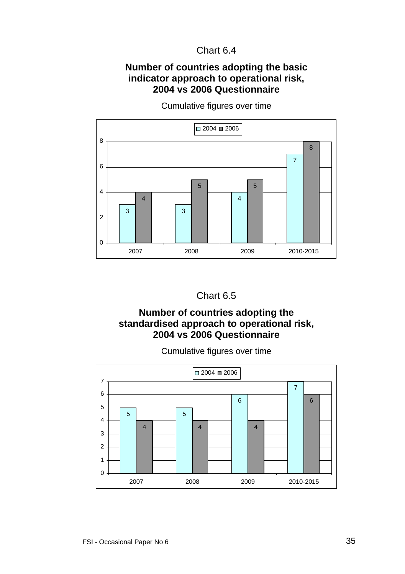#### **Number of countries adopting the basic indicator approach to operational risk, 2004 vs 2006 Questionnaire**



Cumulative figures over time

# Chart 6.5

### **Number of countries adopting the standardised approach to operational risk, 2004 vs 2006 Questionnaire**

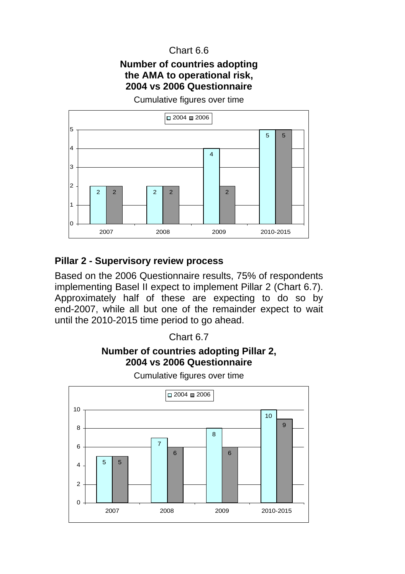#### **Number of countries adopting the AMA to operational risk, 2004 vs 2006 Questionnaire**

Cumulative figures over time

<span id="page-41-0"></span>

### **Pillar 2 - Supervisory review process**

Based on the 2006 Questionnaire results, 75% of respondents implementing Basel II expect to implement Pillar 2 (Chart 6.7). Approximately half of these are expecting to do so by end-2007, while all but one of the remainder expect to wait until the 2010-2015 time period to go ahead.

#### Chart 6.7

# **Number of countries adopting Pillar 2, 2004 vs 2006 Questionnaire**

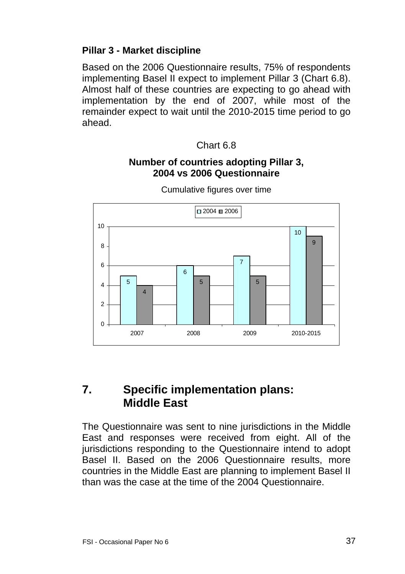#### <span id="page-42-0"></span>**Pillar 3 - Market discipline**

Based on the 2006 Questionnaire results, 75% of respondents implementing Basel II expect to implement Pillar 3 (Chart 6.8). Almost half of these countries are expecting to go ahead with implementation by the end of 2007, while most of the remainder expect to wait until the 2010-2015 time period to go ahead.

#### Chart 6.8

#### **Number of countries adopting Pillar 3, 2004 vs 2006 Questionnaire**



Cumulative figures over time

# **7. Specific implementation plans: Middle East**

The Questionnaire was sent to nine jurisdictions in the Middle East and responses were received from eight. All of the jurisdictions responding to the Questionnaire intend to adopt Basel II. Based on the 2006 Questionnaire results, more countries in the Middle East are planning to implement Basel II than was the case at the time of the 2004 Questionnaire.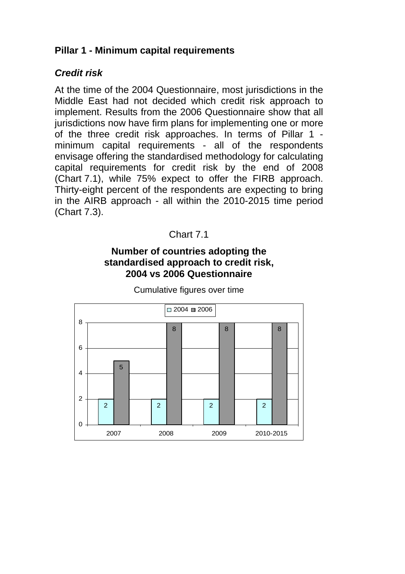# <span id="page-43-0"></span>**Pillar 1 - Minimum capital requirements**

#### *Credit risk*

At the time of the 2004 Questionnaire, most jurisdictions in the Middle East had not decided which credit risk approach to implement. Results from the 2006 Questionnaire show that all jurisdictions now have firm plans for implementing one or more of the three credit risk approaches. In terms of Pillar 1 minimum capital requirements - all of the respondents envisage offering the standardised methodology for calculating capital requirements for credit risk by the end of 2008 (Chart 7.1), while 75% expect to offer the FIRB approach. Thirty-eight percent of the respondents are expecting to bring in the AIRB approach - all within the 2010-2015 time period (Chart 7.3).

#### Chart 7.1

#### **Number of countries adopting the standardised approach to credit risk, 2004 vs 2006 Questionnaire**

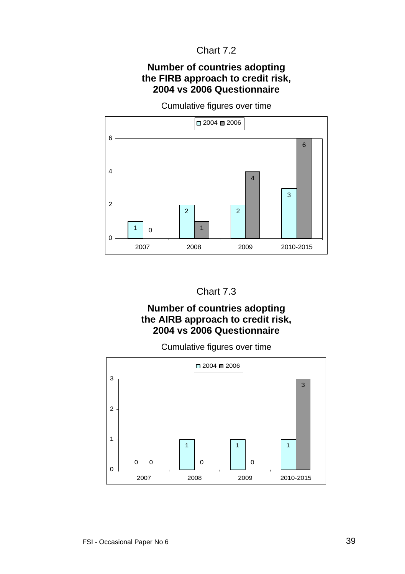### Chart 7.2

#### **Number of countries adopting the FIRB approach to credit risk, 2004 vs 2006 Questionnaire**

Cumulative figures over time





#### **Number of countries adopting the AIRB approach to credit risk, 2004 vs 2006 Questionnaire**

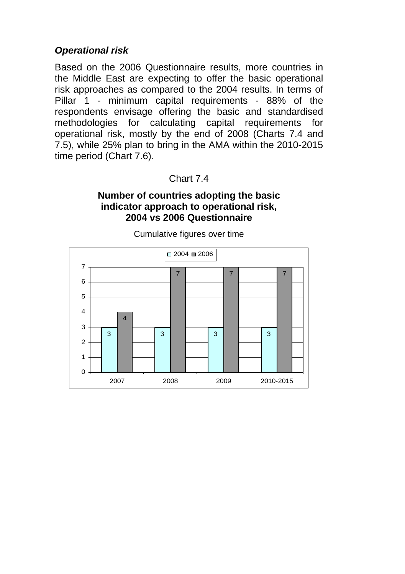### <span id="page-45-0"></span>*Operational risk*

Based on the 2006 Questionnaire results, more countries in the Middle East are expecting to offer the basic operational risk approaches as compared to the 2004 results. In terms of Pillar 1 - minimum capital requirements - 88% of the respondents envisage offering the basic and standardised methodologies for calculating capital requirements for operational risk, mostly by the end of 2008 (Charts 7.4 and 7.5), while 25% plan to bring in the AMA within the 2010-2015 time period (Chart 7.6).

#### Chart 7.4

#### **Number of countries adopting the basic indicator approach to operational risk, 2004 vs 2006 Questionnaire**

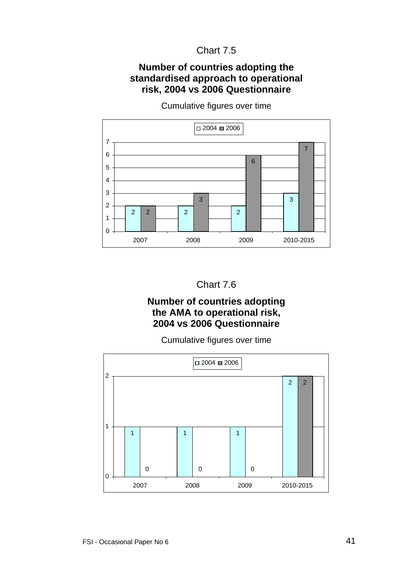#### Chart 7.5

#### **Number of countries adopting the standardised approach to operational risk, 2004 vs 2006 Questionnaire**



Cumulative figures over time

Chart 7.6

#### **Number of countries adopting the AMA to operational risk, 2004 vs 2006 Questionnaire**

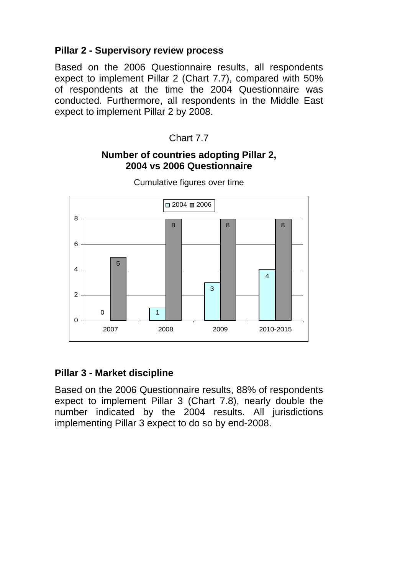# <span id="page-47-0"></span>**Pillar 2 - Supervisory review process**

Based on the 2006 Questionnaire results, all respondents expect to implement Pillar 2 (Chart 7.7), compared with 50% of respondents at the time the 2004 Questionnaire was conducted. Furthermore, all respondents in the Middle East expect to implement Pillar 2 by 2008.

Chart 7.7

#### **Number of countries adopting Pillar 2, 2004 vs 2006 Questionnaire**



Cumulative figures over time

# **Pillar 3 - Market discipline**

Based on the 2006 Questionnaire results, 88% of respondents expect to implement Pillar 3 (Chart 7.8), nearly double the number indicated by the 2004 results. All jurisdictions implementing Pillar 3 expect to do so by end-2008.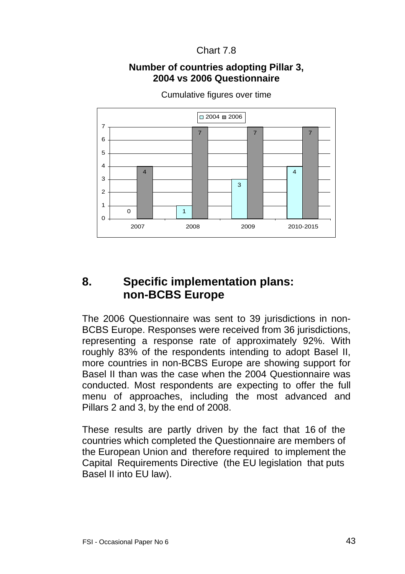#### Chart 7.8

#### **Number of countries adopting Pillar 3, 2004 vs 2006 Questionnaire**

<span id="page-48-0"></span>

Cumulative figures over time

# **8. Specific implementation plans: non-BCBS Europe**

The 2006 Questionnaire was sent to 39 jurisdictions in non-BCBS Europe. Responses were received from 36 jurisdictions, representing a response rate of approximately 92%. With roughly 83% of the respondents intending to adopt Basel II, more countries in non-BCBS Europe are showing support for Basel II than was the case when the 2004 Questionnaire was conducted. Most respondents are expecting to offer the full menu of approaches, including the most advanced and Pillars 2 and 3, by the end of 2008.

These results are partly driven by the fact that 16 of the countries which completed the Questionnaire are members of the European Union and therefore required to implement the Capital Requirements Directive (the EU legislation that puts Basel II into EU law).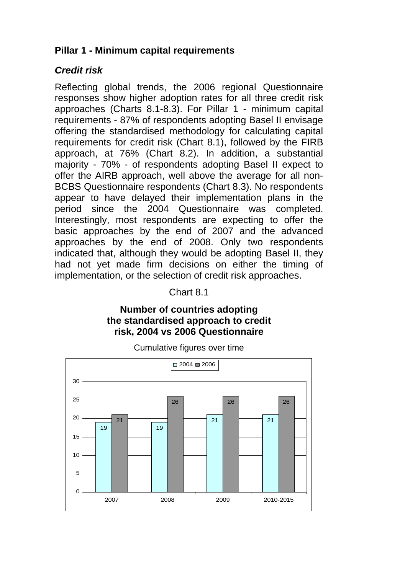# <span id="page-49-0"></span>**Pillar 1 - Minimum capital requirements**

# *Credit risk*

Reflecting global trends, the 2006 regional Questionnaire responses show higher adoption rates for all three credit risk approaches (Charts 8.1-8.3). For Pillar 1 - minimum capital requirements - 87% of respondents adopting Basel II envisage offering the standardised methodology for calculating capital requirements for credit risk (Chart 8.1), followed by the FIRB approach, at 76% (Chart 8.2). In addition, a substantial majority - 70% - of respondents adopting Basel II expect to offer the AIRB approach, well above the average for all non-BCBS Questionnaire respondents (Chart 8.3). No respondents appear to have delayed their implementation plans in the period since the 2004 Questionnaire was completed. Interestingly, most respondents are expecting to offer the basic approaches by the end of 2007 and the advanced approaches by the end of 2008. Only two respondents indicated that, although they would be adopting Basel II, they had not yet made firm decisions on either the timing of implementation, or the selection of credit risk approaches.

#### Chart 8.1

#### **Number of countries adopting the standardised approach to credit risk, 2004 vs 2006 Questionnaire**

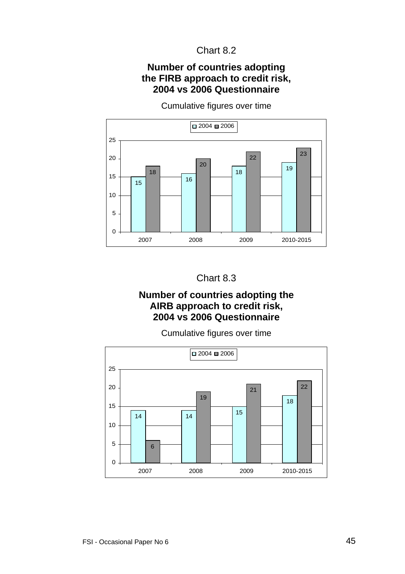#### Chart 8.2

#### **Number of countries adopting the FIRB approach to credit risk, 2004 vs 2006 Questionnaire**



Cumulative figures over time



#### **Number of countries adopting the AIRB approach to credit risk, 2004 vs 2006 Questionnaire**

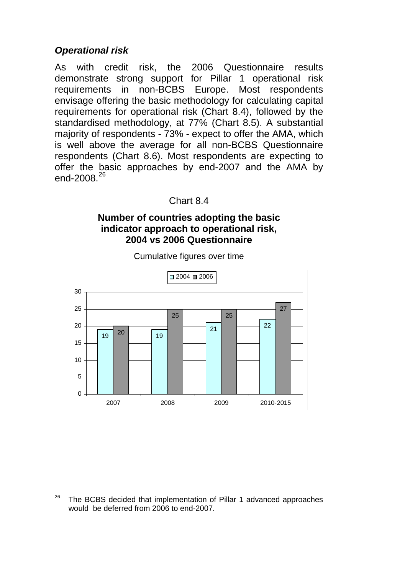# <span id="page-51-0"></span>*Operational risk*

l

As with credit risk, the 2006 Questionnaire results demonstrate strong support for Pillar 1 operational risk requirements in non-BCBS Europe. Most respondents envisage offering the basic methodology for calculating capital requirements for operational risk (Chart 8.4), followed by the standardised methodology, at 77% (Chart 8.5). A substantial majority of respondents - 73% - expect to offer the AMA, which is well above the average for all non-BCBS Questionnaire respondents (Chart 8.6). Most respondents are expecting to offer the basic approaches by end-2007 and the AMA by end-2008 $^{26}$  $^{26}$  $^{26}$ 

#### Chart 8.4

#### **Number of countries adopting the basic indicator approach to operational risk, 2004 vs 2006 Questionnaire**



<span id="page-51-1"></span><sup>&</sup>lt;sup>26</sup> The BCBS decided that implementation of Pillar 1 advanced approaches would be deferred from 2006 to end-2007.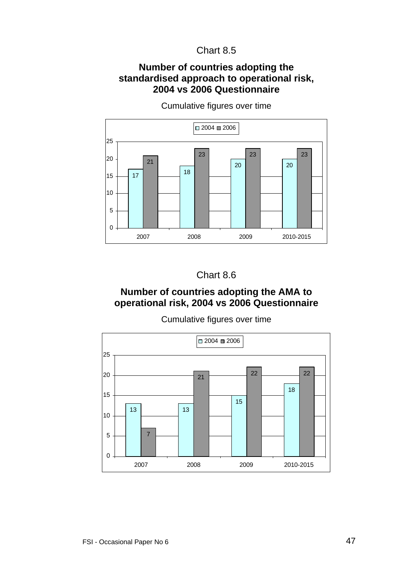#### Chart 8.5

#### **Number of countries adopting the standardised approach to operational risk, 2004 vs 2006 Questionnaire**



Cumulative figures over time



# **Number of countries adopting the AMA to operational risk, 2004 vs 2006 Questionnaire**

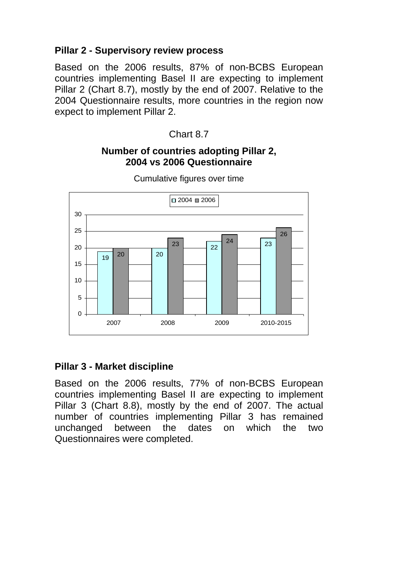# <span id="page-53-0"></span>**Pillar 2 - Supervisory review process**

Based on the 2006 results, 87% of non-BCBS European countries implementing Basel II are expecting to implement Pillar 2 (Chart 8.7), mostly by the end of 2007. Relative to the 2004 Questionnaire results, more countries in the region now expect to implement Pillar 2.

### Chart 8.7

#### **Number of countries adopting Pillar 2, 2004 vs 2006 Questionnaire**



Cumulative figures over time

# **Pillar 3 - Market discipline**

Based on the 2006 results, 77% of non-BCBS European countries implementing Basel II are expecting to implement Pillar 3 (Chart 8.8), mostly by the end of 2007. The actual number of countries implementing Pillar 3 has remained unchanged between the dates on which the two Questionnaires were completed.